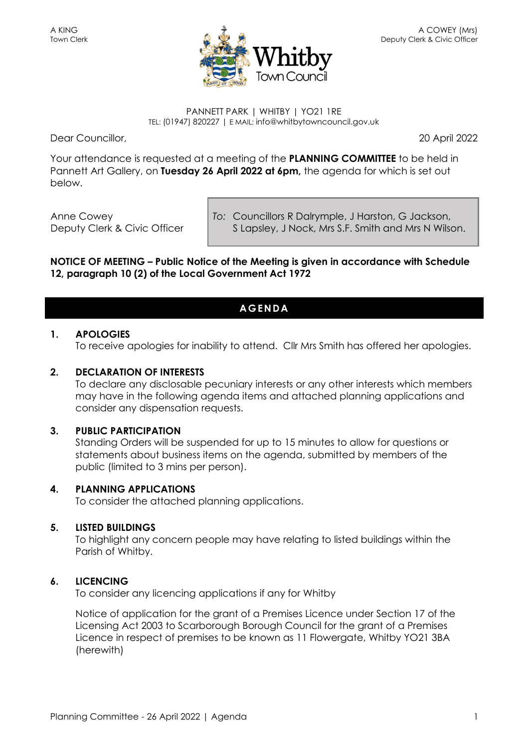

#### PANNETT PARK | WHITBY | YO21 1RE TEL: (01947) 820227 | E MAIL: info@whitbytowncouncil.gov.uk

Dear Councillor, 20 April 2022

Your attendance is requested at a meeting of the **PLANNING COMMITTEE** to be held in Pannett Art Gallery, on **Tuesday 26 April 2022 at 6pm,** the agenda for which is set out below.

Anne Cowey Deputy Clerk & Civic Officer *To:* Councillors R Dalrymple, J Harston, G Jackson, S Lapsley, J Nock, Mrs S.F. Smith and Mrs N Wilson.

#### **NOTICE OF MEETING – Public Notice of the Meeting is given in accordance with Schedule 12, paragraph 10 (2) of the Local Government Act 1972**

### **AGENDA**

#### **1. APOLOGIES**

To receive apologies for inability to attend. Cllr Mrs Smith has offered her apologies.

#### **2. DECLARATION OF INTERESTS**

To declare any disclosable pecuniary interests or any other interests which members may have in the following agenda items and attached planning applications and consider any dispensation requests.

#### **3. PUBLIC PARTICIPATION**

Standing Orders will be suspended for up to 15 minutes to allow for questions or statements about business items on the agenda, submitted by members of the public (limited to 3 mins per person).

#### **4. PLANNING APPLICATIONS**

To consider the attached planning applications.

#### **5. LISTED BUILDINGS**

To highlight any concern people may have relating to listed buildings within the Parish of Whitby.

### **6. LICENCING**

To consider any licencing applications if any for Whitby

Notice of application for the grant of a Premises Licence under Section 17 of the Licensing Act 2003 to Scarborough Borough Council for the grant of a Premises Licence in respect of premises to be known as 11 Flowergate, Whitby YO21 3BA (herewith)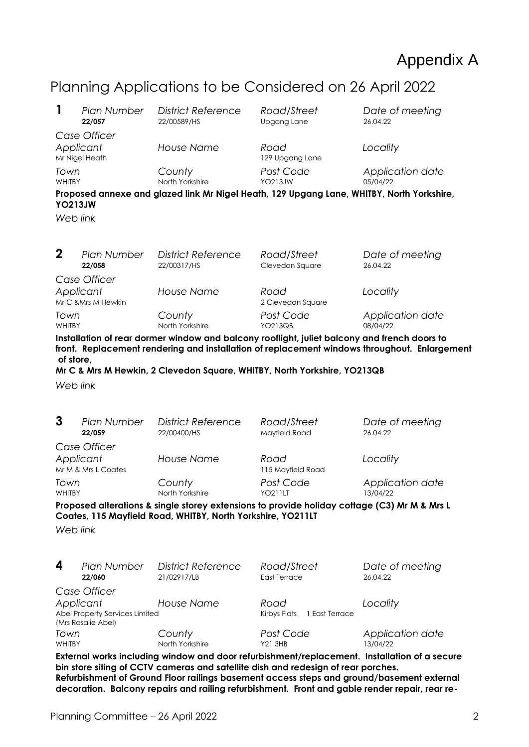# Appendix A

## Planning Applications to be Considered on 26 April 2022

| 1                                                                                                                                                                                                                                                                                                                                                                                | Plan Number<br>22/057        | <b>District Reference</b><br>22/00589/HS                                 | Road/Street<br>Upgang Lane             | Date of meeting<br>26.04.22  |  |  |  |  |
|----------------------------------------------------------------------------------------------------------------------------------------------------------------------------------------------------------------------------------------------------------------------------------------------------------------------------------------------------------------------------------|------------------------------|--------------------------------------------------------------------------|----------------------------------------|------------------------------|--|--|--|--|
| Case Officer<br>Applicant<br>Mr Nigel Heath                                                                                                                                                                                                                                                                                                                                      |                              | <b>House Name</b>                                                        | Road<br>129 Upgang Lane                | Locality                     |  |  |  |  |
| Town<br><b>WHITBY</b>                                                                                                                                                                                                                                                                                                                                                            |                              | County<br>North Yorkshire                                                | Post Code<br><b>YO213JW</b>            | Application date<br>05/04/22 |  |  |  |  |
| Proposed annexe and glazed link Mr Nigel Heath, 129 Upgang Lane, WHITBY, North Yorkshire,<br><b>YO213JW</b>                                                                                                                                                                                                                                                                      |                              |                                                                          |                                        |                              |  |  |  |  |
| Web link                                                                                                                                                                                                                                                                                                                                                                         |                              |                                                                          |                                        |                              |  |  |  |  |
| $\mathbf 2$                                                                                                                                                                                                                                                                                                                                                                      | Plan Number<br>22/058        | <b>District Reference</b><br>22/00317/HS                                 | Road/Street<br>Clevedon Square         | Date of meeting<br>26.04.22  |  |  |  |  |
| Case Officer<br>Applicant<br>Mr C & Mrs M Hewkin                                                                                                                                                                                                                                                                                                                                 |                              | <b>House Name</b>                                                        | Road<br>2 Clevedon Square              | Locality                     |  |  |  |  |
| Town<br>WHITBY                                                                                                                                                                                                                                                                                                                                                                   |                              | County<br>North Yorkshire                                                | Post Code<br><b>YO213QB</b>            | Application date<br>08/04/22 |  |  |  |  |
| Installation of rear dormer window and balcony rooflight, juliet balcony and french doors to<br>front. Replacement rendering and installation of replacement windows throughout. Enlargement<br>of store,                                                                                                                                                                        |                              |                                                                          |                                        |                              |  |  |  |  |
|                                                                                                                                                                                                                                                                                                                                                                                  |                              | Mr C & Mrs M Hewkin, 2 Clevedon Square, WHITBY, North Yorkshire, YO213QB |                                        |                              |  |  |  |  |
| Web link                                                                                                                                                                                                                                                                                                                                                                         |                              |                                                                          |                                        |                              |  |  |  |  |
| 3                                                                                                                                                                                                                                                                                                                                                                                | Plan Number<br>22/059        | <b>District Reference</b><br>22/00400/HS                                 | Road/Street<br>Mayfield Road           | Date of meeting<br>26.04.22  |  |  |  |  |
| Case Officer<br>Applicant<br>Mr M & Mrs L Coates                                                                                                                                                                                                                                                                                                                                 |                              | <b>House Name</b>                                                        | Road<br>115 Mayfield Road              | Locality                     |  |  |  |  |
| Town<br><b>WHITBY</b>                                                                                                                                                                                                                                                                                                                                                            |                              | County<br>North Yorkshire                                                | Post Code<br><b>YO211LT</b>            | Application date<br>13/04/22 |  |  |  |  |
| Proposed alterations & single storey extensions to provide holiday cottage (C3) Mr M & Mrs L<br>Coates, 115 Mayfield Road, WHITBY, North Yorkshire, YO211LT<br>Web link                                                                                                                                                                                                          |                              |                                                                          |                                        |                              |  |  |  |  |
| 4                                                                                                                                                                                                                                                                                                                                                                                | <b>Plan Number</b><br>22/060 | <b>District Reference</b><br>21/02917/LB                                 | Road/Street<br>East Terrace            | Date of meeting<br>26.04.22  |  |  |  |  |
| Case Officer<br>Applicant<br>Abel Property Services Limited                                                                                                                                                                                                                                                                                                                      |                              | <b>House Name</b>                                                        | Road<br>Kirbys Flats<br>1 East Terrace | Locality                     |  |  |  |  |
| (Mrs Rosalie Abel)<br>Town<br>WHITBY                                                                                                                                                                                                                                                                                                                                             |                              | County<br>North Yorkshire                                                | Post Code<br><b>Y21 3HB</b>            | Application date<br>13/04/22 |  |  |  |  |
| External works including window and door refurbishment/replacement. Installation of a secure<br>bin store siting of CCTV cameras and satellite dish and redesign of rear porches.<br>Refurbishment of Ground Floor railings basement access steps and ground/basement external<br>decoration. Balcony repairs and railing refurbishment. Front and gable render repair, rear re- |                              |                                                                          |                                        |                              |  |  |  |  |